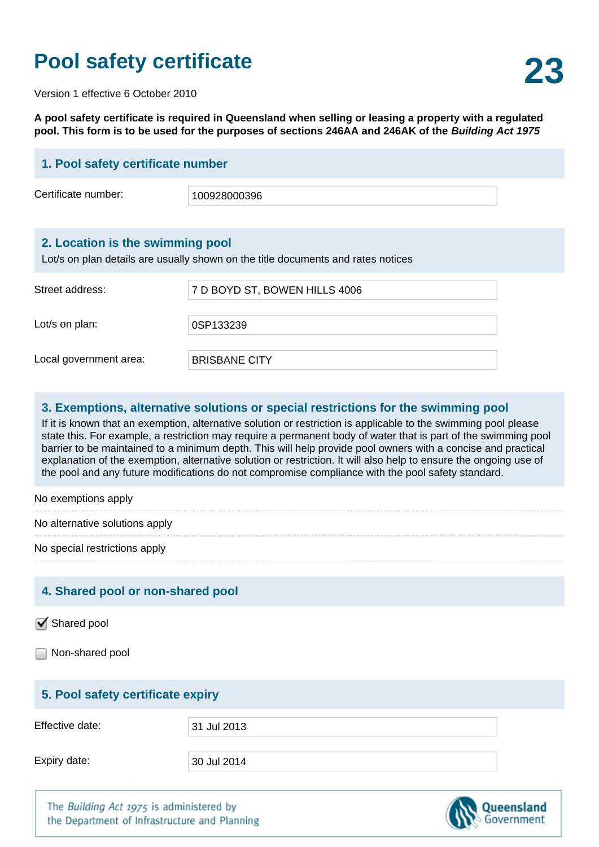# **23 Pool safety certificate**

Version 1 effective 6 October 2010

**A pool safety certificate is required in Queensland when selling or leasing a property with a regulated pool. This form is to be used for the purposes of sections 246AA and 246AK of the Building Act 1975**

| 1. Pool safety certificate number                                                                                    |                               |  |
|----------------------------------------------------------------------------------------------------------------------|-------------------------------|--|
| Certificate number:                                                                                                  | 100928000396                  |  |
|                                                                                                                      |                               |  |
| 2. Location is the swimming pool<br>Lot/s on plan details are usually shown on the title documents and rates notices |                               |  |
| Street address:                                                                                                      | 7 D BOYD ST, BOWEN HILLS 4006 |  |
| Lot/s on plan:                                                                                                       | 0SP133239                     |  |
| Local government area:                                                                                               | <b>BRISBANE CITY</b>          |  |
| Examptione, alternative solutions or special restrictions for the swimming need                                      |                               |  |

#### **3. Exemptions, alternative solutions or special restrictions for the swimming pool**

If it is known that an exemption, alternative solution or restriction is applicable to the swimming pool please state this. For example, a restriction may require a permanent body of water that is part of the swimming pool barrier to be maintained to a minimum depth. This will help provide pool owners with a concise and practical explanation of the exemption, alternative solution or restriction. It will also help to ensure the ongoing use of the pool and any future modifications do not compromise compliance with the pool safety standard.

No exemptions apply

No alternative solutions apply

No special restrictions apply

### **4. Shared pool or non-shared pool**

Shared pool

Non-shared pool

### **5. Pool safety certificate expiry**

Effective date:  $\begin{array}{|c|c|c|c|c|c|}\n\hline\n31 & \text{Iul 2013}\n\hline\n\end{array}$ 

Expiry date: 30 Jul 2014

The Building Act 1975 is administered by the Department of Infrastructure and Planning